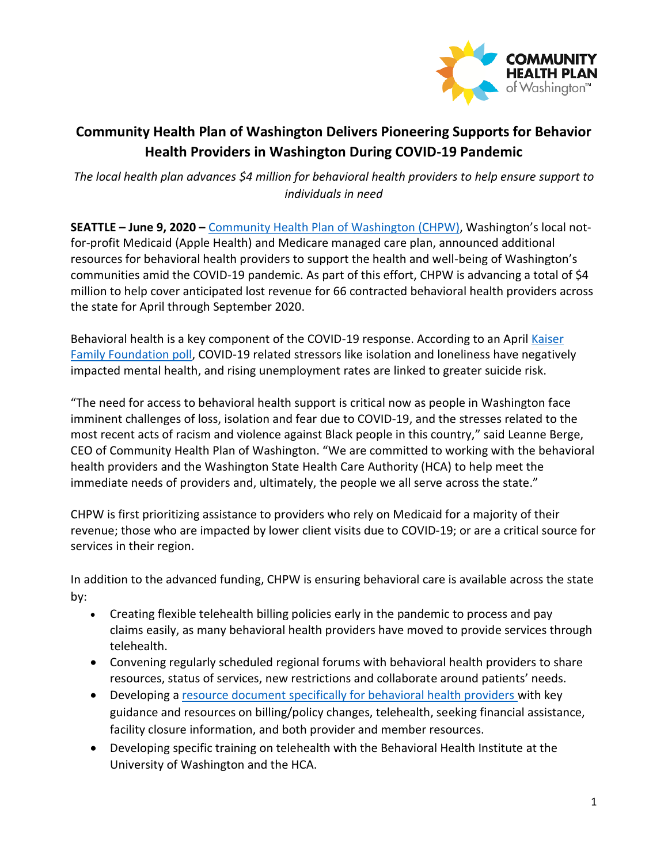

## **Community Health Plan of Washington Delivers Pioneering Supports for Behavior Health Providers in Washington During COVID-19 Pandemic**

*The local health plan advances \$4 million for behavioral health providers to help ensure support to individuals in need* 

**SEATTLE – June 9, 2020 –** [Community Health Plan of Washington \(CHPW\)](http://www.chpw.org/), Washington's local notfor-profit Medicaid (Apple Health) and Medicare managed care plan, announced additional resources for behavioral health providers to support the health and well-being of Washington's communities amid the COVID-19 pandemic. As part of this effort, CHPW is advancing a total of \$4 million to help cover anticipated lost revenue for 66 contracted behavioral health providers across the state for April through September 2020.

Behavioral health is a key component of the COVID-19 response. According to an April [Kaiser](https://www.kff.org/health-reform/report/kff-health-tracking-poll-early-april-2020/)  [Family Foundation poll,](https://www.kff.org/health-reform/report/kff-health-tracking-poll-early-april-2020/) COVID-19 related stressors like isolation and loneliness have negatively impacted mental health, and rising unemployment rates are linked to greater suicide risk.

"The need for access to behavioral health support is critical now as people in Washington face imminent challenges of loss, isolation and fear due to COVID-19, and the stresses related to the most recent acts of racism and violence against Black people in this country," said Leanne Berge, CEO of Community Health Plan of Washington. "We are committed to working with the behavioral health providers and the Washington State Health Care Authority (HCA) to help meet the immediate needs of providers and, ultimately, the people we all serve across the state."

CHPW is first prioritizing assistance to providers who rely on Medicaid for a majority of their revenue; those who are impacted by lower client visits due to COVID-19; or are a critical source for services in their region.

In addition to the advanced funding, CHPW is ensuring behavioral care is available across the state by:

- Creating flexible telehealth billing policies early in the pandemic to process and pay claims easily, as many behavioral health providers have moved to provide services through telehealth.
- Convening regularly scheduled regional forums with behavioral health providers to share resources, status of services, new restrictions and collaborate around patients' needs.
- Developing a resource document specifically for behavioral health providers with key guidance and resources on billing/policy changes, telehealth, seeking financial assistance, facility closure information, and both provider and member resources.
- Developing specific training on telehealth with the Behavioral Health Institute at the University of Washington and the HCA.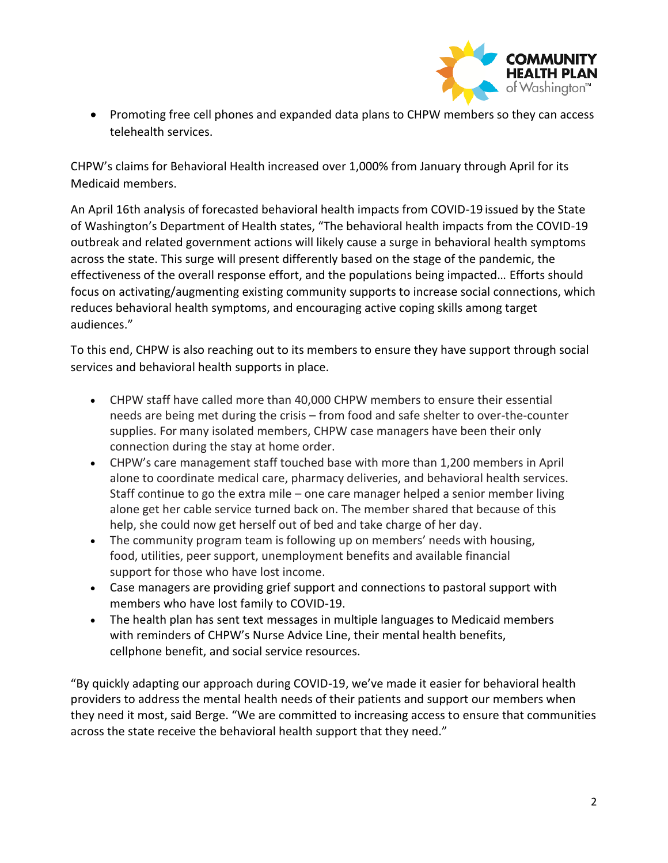

• Promoting free cell phones and expanded data plans to CHPW members so they can access telehealth services.

CHPW's claims for Behavioral Health increased over 1,000% from January through April for its Medicaid members.

An April 16th analysis of forecasted behavioral health impacts from COVID-19 issued by the State of Washington's Department of Health states, "The behavioral health impacts from the COVID-19 outbreak and related government actions will likely cause a surge in behavioral health symptoms across the state. This surge will present differently based on the stage of the pandemic, the effectiveness of the overall response effort, and the populations being impacted… Efforts should focus on activating/augmenting existing community supports to increase social connections, which reduces behavioral health symptoms, and encouraging active coping skills among target audiences."

To this end, CHPW is also reaching out to its members to ensure they have support through social services and behavioral health supports in place.

- CHPW staff have called more than 40,000 CHPW members to ensure their essential needs are being met during the crisis – from food and safe shelter to over-the-counter supplies. For many isolated members, CHPW case managers have been their only connection during the stay at home order.
- CHPW's care management staff touched base with more than 1,200 members in April alone to coordinate medical care, pharmacy deliveries, and behavioral health services. Staff continue to go the extra mile – one care manager helped a senior member living alone get her cable service turned back on. The member shared that because of this help, she could now get herself out of bed and take charge of her day.
- The community program team is following up on members' needs with housing, food, utilities, peer support, unemployment benefits and available financial support for those who have lost income.
- Case managers are providing grief support and connections to pastoral support with members who have lost family to COVID-19.
- The health plan has sent text messages in multiple languages to Medicaid members with reminders of CHPW's Nurse Advice Line, their mental health benefits, cellphone benefit, and social service resources.

"By quickly adapting our approach during COVID-19, we've made it easier for behavioral health providers to address the mental health needs of their patients and support our members when they need it most, said Berge. "We are committed to increasing access to ensure that communities across the state receive the behavioral health support that they need."